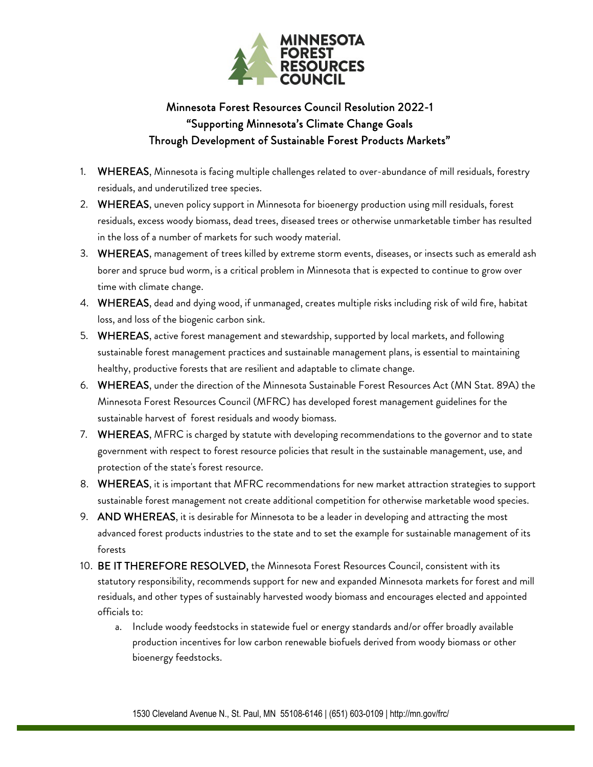

## Minnesota Forest Resources Council Resolution 2022-1 "Supporting Minnesota's Climate Change Goals Through Development of Sustainable Forest Products Markets"

- 1. WHEREAS, Minnesota is facing multiple challenges related to over-abundance of mill residuals, forestry residuals, and underutilized tree species.
- 2. WHEREAS, uneven policy support in Minnesota for bioenergy production using mill residuals, forest residuals, excess woody biomass, dead trees, diseased trees or otherwise unmarketable timber has resulted in the loss of a number of markets for such woody material.
- 3. WHEREAS, management of trees killed by extreme storm events, diseases, or insects such as emerald ash borer and spruce bud worm, is a critical problem in Minnesota that is expected to continue to grow over time with climate change.
- 4. WHEREAS, dead and dying wood, if unmanaged, creates multiple risks including risk of wild fire, habitat loss, and loss of the biogenic carbon sink.
- 5. WHEREAS, active forest management and stewardship, supported by local markets, and following sustainable forest management practices and sustainable management plans, is essential to maintaining healthy, productive forests that are resilient and adaptable to climate change.
- 6. WHEREAS, under the direction of the Minnesota Sustainable Forest Resources Act (MN Stat. 89A) the Minnesota Forest Resources Council (MFRC) has developed forest management guidelines for the sustainable harvest of forest residuals and woody biomass.
- 7. WHEREAS, MFRC is charged by statute with developing recommendations to the governor and to state government with respect to forest resource policies that result in the sustainable management, use, and protection of the state's forest resource.
- 8. WHEREAS, it is important that MFRC recommendations for new market attraction strategies to support sustainable forest management not create additional competition for otherwise marketable wood species.
- 9. AND WHEREAS, it is desirable for Minnesota to be a leader in developing and attracting the most advanced forest products industries to the state and to set the example for sustainable management of its forests
- 10. BE IT THEREFORE RESOLVED, the Minnesota Forest Resources Council, consistent with its statutory responsibility, recommends support for new and expanded Minnesota markets for forest and mill residuals, and other types of sustainably harvested woody biomass and encourages elected and appointed officials to:
	- a. Include woody feedstocks in statewide fuel or energy standards and/or offer broadly available production incentives for low carbon renewable biofuels derived from woody biomass or other bioenergy feedstocks.

1530 Cleveland Avenue N., St. Paul, MN 55108-6146 | (651) 603-0109 | http://mn.gov/frc/